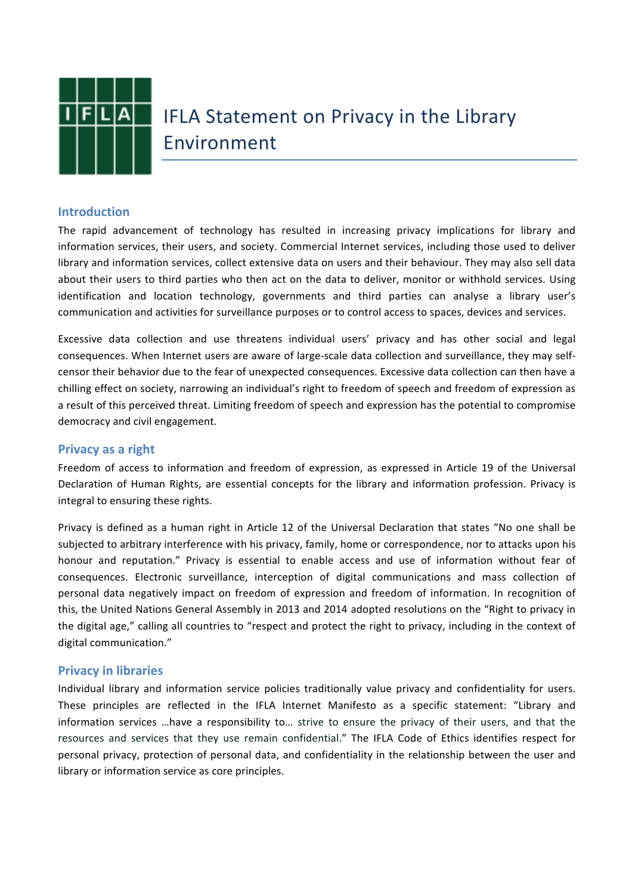

# **IFLA Statement on Privacy in the Library** Environment

### **Introduction**

The rapid advancement of technology has resulted in increasing privacy implications for library and information services, their users, and society. Commercial Internet services, including those used to deliver library and information services, collect extensive data on users and their behaviour. They may also sell data about their users to third parties who then act on the data to deliver, monitor or withhold services. Using identification and location technology, governments and third parties can analyse a library user's communication and activities for surveillance purposes or to control access to spaces, devices and services.

Excessive data collection and use threatens individual users' privacy and has other social and legal consequences. When Internet users are aware of large-scale data collection and surveillance, they may selfcensor their behavior due to the fear of unexpected consequences. Excessive data collection can then have a chilling effect on society, narrowing an individual's right to freedom of speech and freedom of expression as a result of this perceived threat. Limiting freedom of speech and expression has the potential to compromise democracy and civil engagement.

### **Privacy as a right**

Freedom of access to information and freedom of expression, as expressed in Article 19 of the Universal Declaration of Human Rights, are essential concepts for the library and information profession. Privacy is integral to ensuring these rights.

Privacy is defined as a human right in Article 12 of the Universal Declaration that states "No one shall be subjected to arbitrary interference with his privacy, family, home or correspondence, nor to attacks upon his honour and reputation." Privacy is essential to enable access and use of information without fear of consequences. Electronic surveillance, interception of digital communications and mass collection of personal data negatively impact on freedom of expression and freedom of information. In recognition of this, the United Nations General Assembly in 2013 and 2014 adopted resolutions on the "Right to privacy in the digital age," calling all countries to "respect and protect the right to privacy, including in the context of digital communication."

### **Privacy in libraries**

Individual library and information service policies traditionally value privacy and confidentiality for users. These principles are reflected in the IFLA Internet Manifesto as a specific statement: "Library and information services …have a responsibility to… strive to ensure the privacy of their users, and that the resources and services that they use remain confidential." The IFLA Code of Ethics identifies respect for personal privacy, protection of personal data, and confidentiality in the relationship between the user and library or information service as core principles.